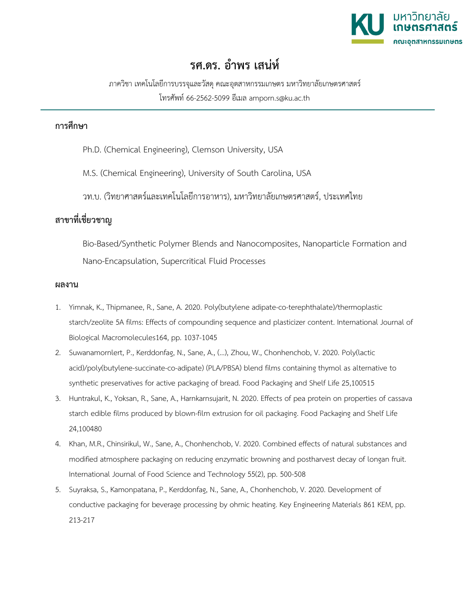

## **รศ.ดร. อำพร เสนห**

ภาควิชา เทคโนโลยีการบรรจุและวัสดุคณะอุตสาหกรรมเกษตร มหาวิทยาลัยเกษตรศาสตร โทรศัพท 66-2562-5099 อีเมล amporn.s@ku.ac.th

## **การศึกษา**

Ph.D. (Chemical Engineering), Clemson University, USA

M.S. (Chemical Engineering), University of South Carolina, USA

วท.บ. (วิทยาศาสตรและเทคโนโลยีการอาหาร), มหาวิทยาลัยเกษตรศาสตร, ประเทศไทย

## **สาขาที่เชี่ยวชาญ**

Bio-Based/Synthetic Polymer Blends and Nanocomposites, Nanoparticle Formation and Nano-Encapsulation, Supercritical Fluid Processes

## **ผลงาน**

- 1. Yimnak, K., Thipmanee, R., Sane, A. 2020. Poly(butylene adipate-co-terephthalate)/thermoplastic starch/zeolite 5A films: Effects of compounding sequence and plasticizer content. International Journal of Biological Macromolecules164, pp. 1037-1045
- 2. Suwanamornlert, P., Kerddonfag, N., Sane, A., (...), Zhou, W., Chonhenchob, V. 2020. Poly(lactic acid)/poly(butylene-succinate-co-adipate) (PLA/PBSA) blend films containing thymol as alternative to synthetic preservatives for active packaging of bread. Food Packaging and Shelf Life 25,100515
- 3. Huntrakul, K., Yoksan, R., Sane, A., Harnkarnsujarit, N. 2020. Effects of pea protein on properties of cassava starch edible films produced by blown-film extrusion for oil packaging. Food Packaging and Shelf Life 24,100480
- 4. Khan, M.R., Chinsirikul, W., Sane, A., Chonhenchob, V. 2020. Combined effects of natural substances and modified atmosphere packaging on reducing enzymatic browning and postharvest decay of longan fruit. International Journal of Food Science and Technology 55(2), pp. 500-508
- 5. Suyraksa, S., Kamonpatana, P., Kerddonfag, N., Sane, A., Chonhenchob, V. 2020. Development of conductive packaging for beverage processing by ohmic heating. Key Engineering Materials 861 KEM, pp. 213-217